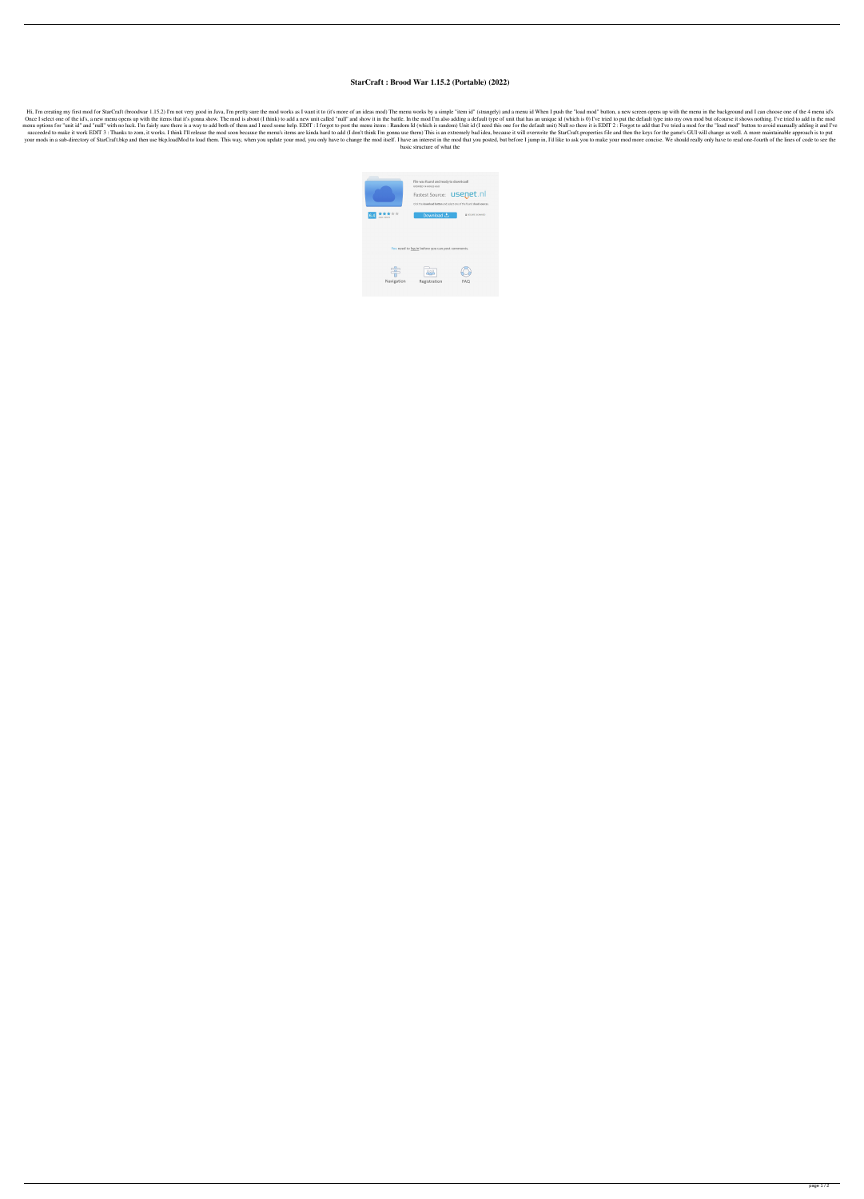## **StarCraft : Brood War 1.15.2 (Portable) (2022)**

Hi, I'm creating my first mod for StarCraft (broodwar 1.15.2) I'm not very good in Java, I'm pretty sure the mod works as I want it to (it's more of an ideas mod) The menu works by a simple "item id" (strangely) and a menu Once I select one of the id's, a new menu opens up with the items that it's gonna show. The mod is about (I think) to add a new unit called "null" and show it in the battle. In the mod I'm also adding a default type of uni menu options for "unit id" and "null" with no luck. I'm fairly sure there is a way to add both of them and I need some help. EDIT : I forgot to post the menu items : Random Id (which is random) Unit id (I need this one for succeeded to make it work EDIT 3: Thanks to zom, it works. I think I'll release the mod soon because the menu's items are kinda hard to add (I don't think I'm gonna use them) This is an extremely bad idea, because it will your mods in a sub-directory of StarCraft.bkp and then use bkp.loadMod to load them. This way, when you update your mod, you only have to change the mod itself. I have an interest in the mod that you posted, but before I j basic structure of what the